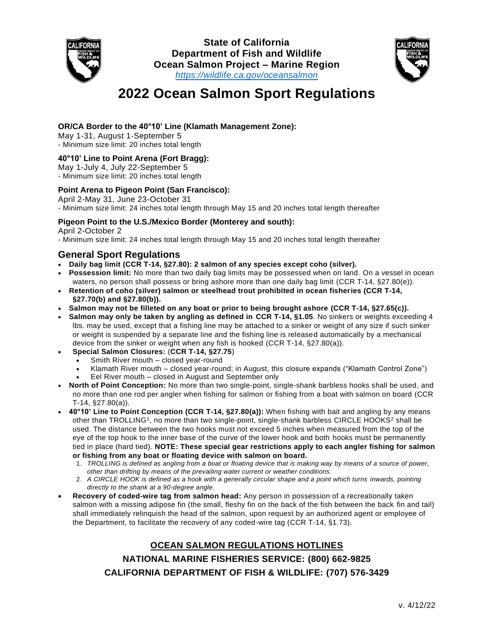



# **2022 Ocean Salmon Sport Regulations**

#### **OR/CA Border to the 40°10' Line (Klamath Management Zone):**

May 1-31, August 1-September 5 - Minimum size limit: 20 inches total length

#### **40°10' Line to Point Arena (Fort Bragg):**

May 1-July 4, July 22-September 5

- Minimum size limit: 20 inches total length

#### **Point Arena to Pigeon Point (San Francisco):**

April 2-May 31, June 23-October 31 - Minimum size limit: 24 inches total length through May 15 and 20 inches total length thereafter

#### **Pigeon Point to the U.S./Mexico Border (Monterey and south):**

April 2-October 2

- Minimum size limit: 24 inches total length through May 15 and 20 inches total length thereafter

### **General Sport Regulations**

- **Daily bag limit (CCR T-14, §27.80): 2 salmon of any species except coho (silver).**
- **Possession limit:** No more than two daily bag limits may be possessed when on land. On a vessel in ocean waters, no person shall possess or bring ashore more than one daily bag limit (CCR T-14, §27.80(e)).
- **Retention of coho (silver) salmon or steelhead trout prohibited in ocean fisheries (CCR T-14, §27.70(b) and §27.80(b)).**
- **Salmon may not be filleted on any boat or prior to being brought ashore (CCR T-14, §27.65(c)).**
- **Salmon may only be taken by angling as defined in CCR T-14, §1.05**. No sinkers or weights exceeding 4 lbs. may be used, except that a fishing line may be attached to a sinker or weight of any size if such sinker or weight is suspended by a separate line and the fishing line is released automatically by a mechanical device from the sinker or weight when any fish is hooked (CCR T-14, §27.80(a)).
- **Special Salmon Closures:** (**CCR T-14, §27.75**)
	- Smith River mouth closed year-round
	- Klamath River mouth closed year-round; in August, this closure expands ("Klamath Control Zone")
	- Eel River mouth closed in August and September only
- **North of Point Conception:** No more than two single-point, single-shank barbless hooks shall be used, and no more than one rod per angler when fishing for salmon or fishing from a boat with salmon on board (CCR T-14, §27.80(a)).
- **40°10' Line to Point Conception (CCR T-14, §27.80(a)):** When fishing with bait and angling by any means other than TROLLING<sup>1</sup>, no more than two single-point, single-shank barbless CIRCLE HOOKS<sup>2</sup> shall be used. The distance between the two hooks must not exceed 5 inches when measured from the top of the eye of the top hook to the inner base of the curve of the lower hook and both hooks must be permanently tied in place (hard tied). **NOTE: These special gear restrictions apply to each angler fishing for salmon or fishing from any boat or floating device with salmon on board.**
	- 1. *TROLLING is defined as angling from a boat or floating device that is making way by means of a source of power, other than drifting by means of the prevailing water current or weather conditions.*
	- 2. *A CIRCLE HOOK is defined as a hook with a generally circular shape and a point which turns inwards, pointing directly to the shank at a 90-degree angle.*
- **Recovery of coded-wire tag from salmon head:** Any person in possession of a recreationally taken salmon with a missing adipose fin (the small, fleshy fin on the back of the fish between the back fin and tail) shall immediately relinquish the head of the salmon, upon request by an authorized agent or employee of the Department, to facilitate the recovery of any coded-wire tag (CCR T-14, §1.73).

## **OCEAN SALMON REGULATIONS HOTLINES NATIONAL MARINE FISHERIES SERVICE: (800) 662-9825 CALIFORNIA DEPARTMENT OF FISH & WILDLIFE: (707) 576-3429**